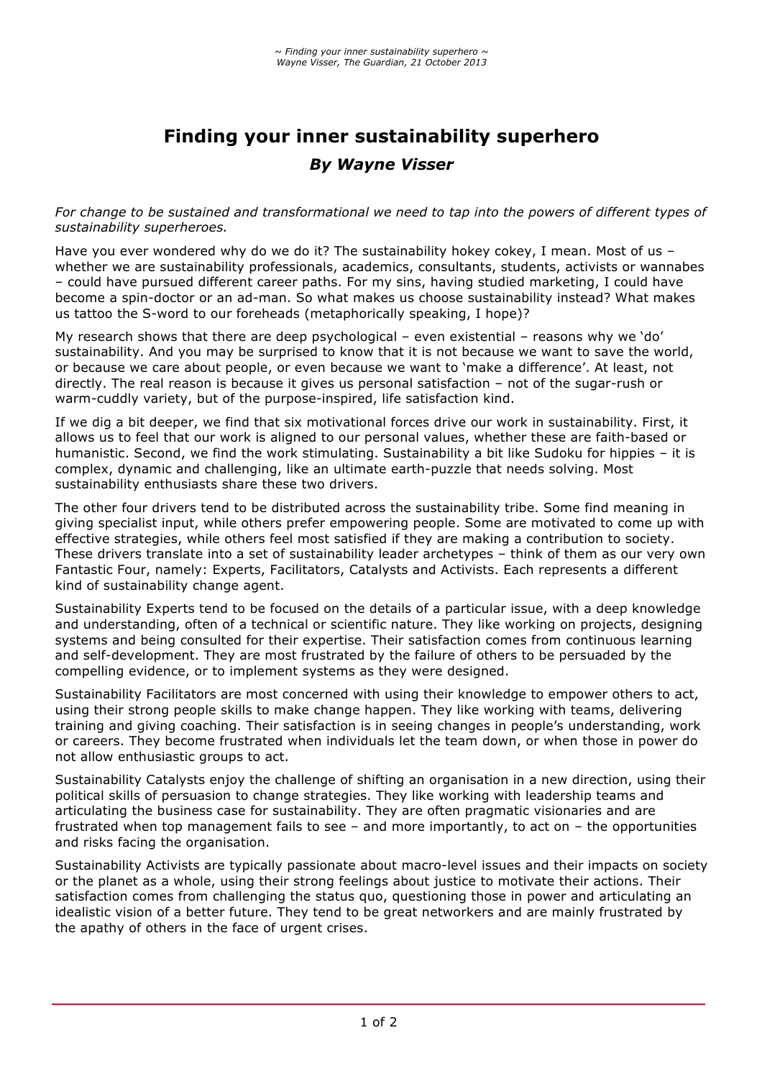## **Finding your inner sustainability superhero**  *By Wayne Visser*

*For change to be sustained and transformational we need to tap into the powers of different types of sustainability superheroes.*

Have you ever wondered why do we do it? The sustainability hokey cokey, I mean. Most of us whether we are sustainability professionals, academics, consultants, students, activists or wannabes – could have pursued different career paths. For my sins, having studied marketing, I could have become a spin-doctor or an ad-man. So what makes us choose sustainability instead? What makes us tattoo the S-word to our foreheads (metaphorically speaking, I hope)?

My research shows that there are deep psychological – even existential – reasons why we 'do' sustainability. And you may be surprised to know that it is not because we want to save the world, or because we care about people, or even because we want to 'make a difference'. At least, not directly. The real reason is because it gives us personal satisfaction – not of the sugar-rush or warm-cuddly variety, but of the purpose-inspired, life satisfaction kind.

If we dig a bit deeper, we find that six motivational forces drive our work in sustainability. First, it allows us to feel that our work is aligned to our personal values, whether these are faith-based or humanistic. Second, we find the work stimulating. Sustainability a bit like Sudoku for hippies – it is complex, dynamic and challenging, like an ultimate earth-puzzle that needs solving. Most sustainability enthusiasts share these two drivers.

The other four drivers tend to be distributed across the sustainability tribe. Some find meaning in giving specialist input, while others prefer empowering people. Some are motivated to come up with effective strategies, while others feel most satisfied if they are making a contribution to society. These drivers translate into a set of sustainability leader archetypes – think of them as our very own Fantastic Four, namely: Experts, Facilitators, Catalysts and Activists. Each represents a different kind of sustainability change agent.

Sustainability Experts tend to be focused on the details of a particular issue, with a deep knowledge and understanding, often of a technical or scientific nature. They like working on projects, designing systems and being consulted for their expertise. Their satisfaction comes from continuous learning and self-development. They are most frustrated by the failure of others to be persuaded by the compelling evidence, or to implement systems as they were designed.

Sustainability Facilitators are most concerned with using their knowledge to empower others to act, using their strong people skills to make change happen. They like working with teams, delivering training and giving coaching. Their satisfaction is in seeing changes in people's understanding, work or careers. They become frustrated when individuals let the team down, or when those in power do not allow enthusiastic groups to act.

Sustainability Catalysts enjoy the challenge of shifting an organisation in a new direction, using their political skills of persuasion to change strategies. They like working with leadership teams and articulating the business case for sustainability. They are often pragmatic visionaries and are frustrated when top management fails to see – and more importantly, to act on – the opportunities and risks facing the organisation.

Sustainability Activists are typically passionate about macro-level issues and their impacts on society or the planet as a whole, using their strong feelings about justice to motivate their actions. Their satisfaction comes from challenging the status quo, questioning those in power and articulating an idealistic vision of a better future. They tend to be great networkers and are mainly frustrated by the apathy of others in the face of urgent crises.